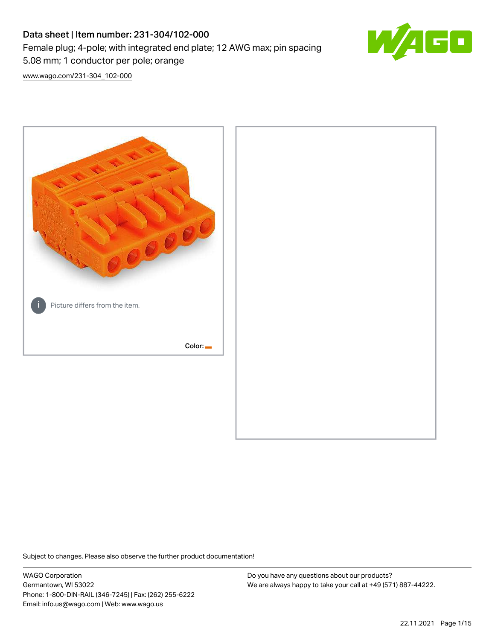# Data sheet | Item number: 231-304/102-000 Female plug; 4-pole; with integrated end plate; 12 AWG max; pin spacing 5.08 mm; 1 conductor per pole; orange



[www.wago.com/231-304\\_102-000](http://www.wago.com/231-304_102-000)



Subject to changes. Please also observe the further product documentation!

WAGO Corporation Germantown, WI 53022 Phone: 1-800-DIN-RAIL (346-7245) | Fax: (262) 255-6222 Email: info.us@wago.com | Web: www.wago.us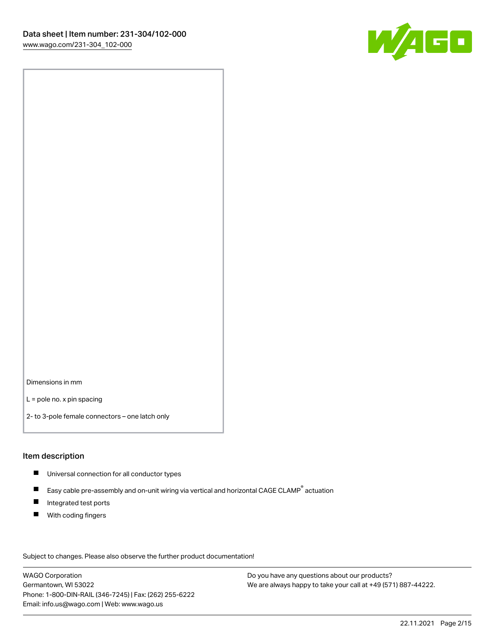

Dimensions in mm

L = pole no. x pin spacing

2- to 3-pole female connectors – one latch only

### Item description

- **Universal connection for all conductor types**
- Easy cable pre-assembly and on-unit wiring via vertical and horizontal CAGE CLAMP<sup>®</sup> actuation  $\blacksquare$
- $\blacksquare$ Integrated test ports
- $\blacksquare$ With coding fingers

Subject to changes. Please also observe the further product documentation! Data

WAGO Corporation Germantown, WI 53022 Phone: 1-800-DIN-RAIL (346-7245) | Fax: (262) 255-6222 Email: info.us@wago.com | Web: www.wago.us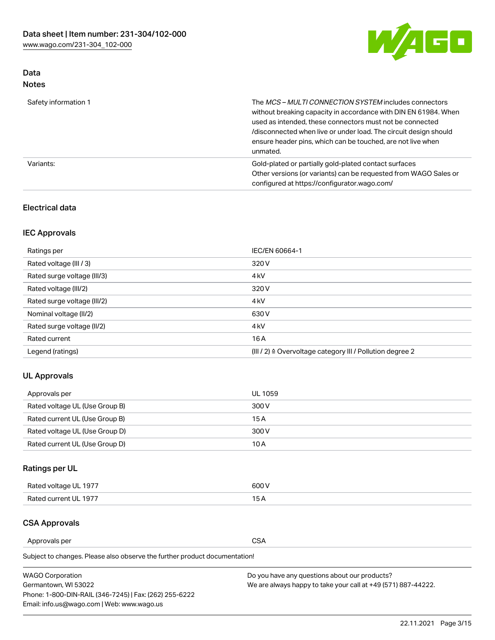

# Data Notes

| Safety information 1 | The <i>MCS – MULTI CONNECTION SYSTEM</i> includes connectors<br>without breaking capacity in accordance with DIN EN 61984. When<br>used as intended, these connectors must not be connected<br>/disconnected when live or under load. The circuit design should<br>ensure header pins, which can be touched, are not live when<br>unmated. |
|----------------------|--------------------------------------------------------------------------------------------------------------------------------------------------------------------------------------------------------------------------------------------------------------------------------------------------------------------------------------------|
| Variants:            | Gold-plated or partially gold-plated contact surfaces<br>Other versions (or variants) can be requested from WAGO Sales or<br>configured at https://configurator.wago.com/                                                                                                                                                                  |

## Electrical data

# IEC Approvals

| Ratings per                 | IEC/EN 60664-1                                                        |  |
|-----------------------------|-----------------------------------------------------------------------|--|
| Rated voltage (III / 3)     | 320 V                                                                 |  |
| Rated surge voltage (III/3) | 4 <sub>k</sub> V                                                      |  |
| Rated voltage (III/2)       | 320 V                                                                 |  |
| Rated surge voltage (III/2) | 4 <sub>k</sub> V                                                      |  |
| Nominal voltage (II/2)      | 630 V                                                                 |  |
| Rated surge voltage (II/2)  | 4 <sub>k</sub> V                                                      |  |
| Rated current               | 16A                                                                   |  |
| Legend (ratings)            | $(III / 2)$ $\triangle$ Overvoltage category III / Pollution degree 2 |  |

# UL Approvals

| Approvals per                  | UL 1059 |
|--------------------------------|---------|
| Rated voltage UL (Use Group B) | 300 V   |
| Rated current UL (Use Group B) | 15 A    |
| Rated voltage UL (Use Group D) | 300 V   |
| Rated current UL (Use Group D) | 10 A    |

# Ratings per UL

| Rated voltage UL 1977 | 300 V |
|-----------------------|-------|
| Rated current UL 1977 |       |

### CSA Approvals

Approvals per CSA

Subject to changes. Please also observe the further product documentation!

| <b>WAGO Corporation</b>                                | Do you have any questions about our products?                 |
|--------------------------------------------------------|---------------------------------------------------------------|
| Germantown, WI 53022                                   | We are always happy to take your call at +49 (571) 887-44222. |
| Phone: 1-800-DIN-RAIL (346-7245)   Fax: (262) 255-6222 |                                                               |
| Email: info.us@wago.com   Web: www.wago.us             |                                                               |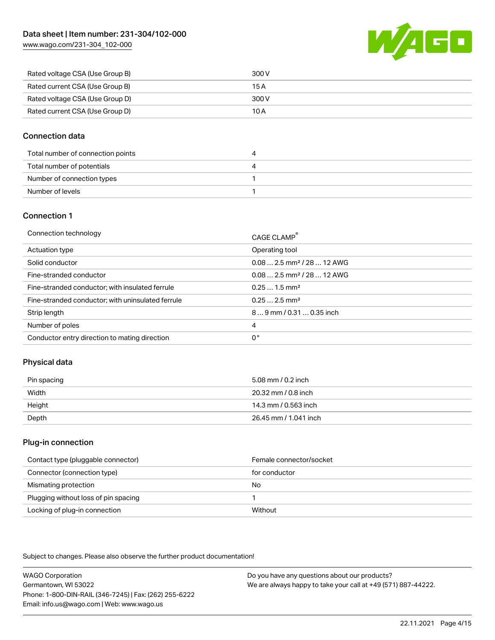[www.wago.com/231-304\\_102-000](http://www.wago.com/231-304_102-000)



| Rated voltage CSA (Use Group B) | 300 V |
|---------------------------------|-------|
| Rated current CSA (Use Group B) | 15 A  |
| Rated voltage CSA (Use Group D) | 300 V |
| Rated current CSA (Use Group D) | 10 A  |

### Connection data

| Total number of connection points |  |
|-----------------------------------|--|
| Total number of potentials        |  |
| Number of connection types        |  |
| Number of levels                  |  |

### Connection 1

| Connection technology                             | CAGE CLAMP <sup>®</sup>                 |
|---------------------------------------------------|-----------------------------------------|
| Actuation type                                    | Operating tool                          |
| Solid conductor                                   | $0.08$ 2.5 mm <sup>2</sup> / 28  12 AWG |
| Fine-stranded conductor                           | $0.08$ 2.5 mm <sup>2</sup> / 28  12 AWG |
| Fine-stranded conductor; with insulated ferrule   | $0.251.5$ mm <sup>2</sup>               |
| Fine-stranded conductor; with uninsulated ferrule | $0.252.5$ mm <sup>2</sup>               |
| Strip length                                      | 89 mm / 0.31  0.35 inch                 |
| Number of poles                                   | 4                                       |
| Conductor entry direction to mating direction     | 0°                                      |

# Physical data

| Pin spacing | 5.08 mm / 0.2 inch    |
|-------------|-----------------------|
| Width       | 20.32 mm / 0.8 inch   |
| Height      | 14.3 mm / 0.563 inch  |
| Depth       | 26.45 mm / 1.041 inch |

### Plug-in connection

| Contact type (pluggable connector)   | Female connector/socket |
|--------------------------------------|-------------------------|
| Connector (connection type)          | for conductor           |
| Mismating protection                 | No                      |
| Plugging without loss of pin spacing |                         |
| Locking of plug-in connection        | Without                 |

Subject to changes. Please also observe the further product documentation!

WAGO Corporation Germantown, WI 53022 Phone: 1-800-DIN-RAIL (346-7245) | Fax: (262) 255-6222 Email: info.us@wago.com | Web: www.wago.us Do you have any questions about our products? We are always happy to take your call at +49 (571) 887-44222.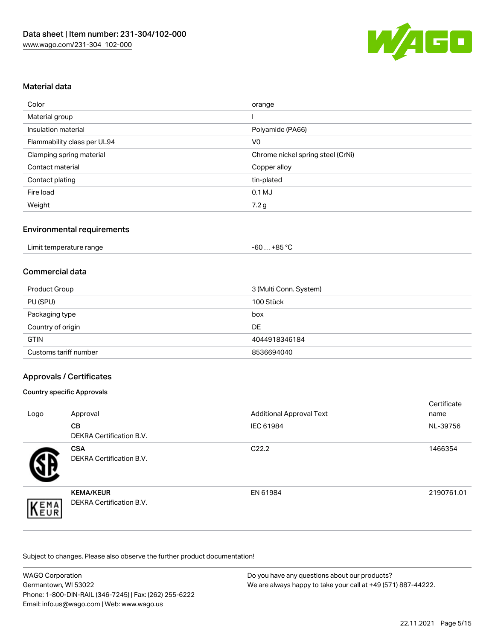

### Material data

| Color                       | orange                            |
|-----------------------------|-----------------------------------|
| Material group              |                                   |
| Insulation material         | Polyamide (PA66)                  |
| Flammability class per UL94 | V <sub>0</sub>                    |
| Clamping spring material    | Chrome nickel spring steel (CrNi) |
| Contact material            | Copper alloy                      |
| Contact plating             | tin-plated                        |
| Fire load                   | $0.1$ MJ                          |
| Weight                      | 7.2g                              |

### Environmental requirements

| Limit temperature range | $+85 °C$<br>-60 … |  |
|-------------------------|-------------------|--|
|-------------------------|-------------------|--|

### Commercial data

| Product Group         | 3 (Multi Conn. System) |
|-----------------------|------------------------|
| PU (SPU)              | 100 Stück              |
| Packaging type        | box                    |
| Country of origin     | DE                     |
| <b>GTIN</b>           | 4044918346184          |
| Customs tariff number | 8536694040             |

### Approvals / Certificates

#### Country specific Approvals

| Logo | Approval                                            | <b>Additional Approval Text</b> | Certificate<br>name |
|------|-----------------------------------------------------|---------------------------------|---------------------|
|      | <b>CB</b><br><b>DEKRA Certification B.V.</b>        | IEC 61984                       | NL-39756            |
|      | <b>CSA</b><br>DEKRA Certification B.V.              | C <sub>22.2</sub>               | 1466354             |
| EMA  | <b>KEMA/KEUR</b><br><b>DEKRA Certification B.V.</b> | EN 61984                        | 2190761.01          |

Subject to changes. Please also observe the further product documentation!

| <b>WAGO Corporation</b>                                | Do you have any questions about our products?                 |
|--------------------------------------------------------|---------------------------------------------------------------|
| Germantown, WI 53022                                   | We are always happy to take your call at +49 (571) 887-44222. |
| Phone: 1-800-DIN-RAIL (346-7245)   Fax: (262) 255-6222 |                                                               |
| Email: info.us@wago.com   Web: www.wago.us             |                                                               |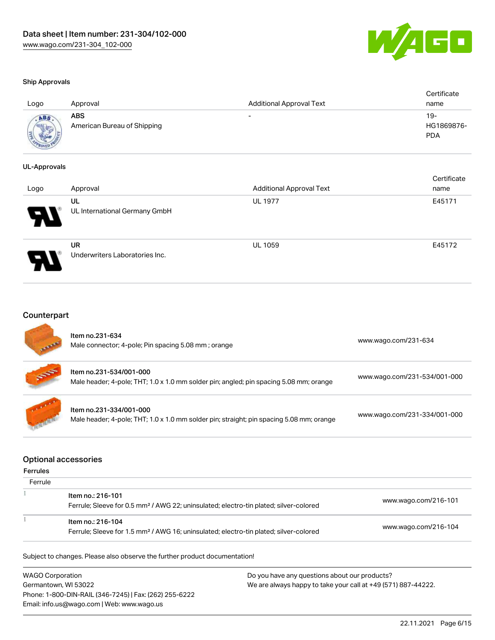

certificate de la contradición de la contradición de la contradición de la contradición de la contradición de<br>Contradición de la contradición de la contradición de la contradición de la contradición de la contradición de

#### Ship Approvals

| Logo        | Approval                           | <b>Additional Approval Text</b> | Certificate<br>name             |
|-------------|------------------------------------|---------------------------------|---------------------------------|
| <b>ADAR</b> | ABS<br>American Bureau of Shipping | -                               | 19-<br>HG1869876-<br><b>PDA</b> |

#### UL-Approvals

| Logo | Approval                                    | <b>Additional Approval Text</b> | Certificate<br>name |
|------|---------------------------------------------|---------------------------------|---------------------|
| Р.   | UL<br>UL International Germany GmbH         | <b>UL 1977</b>                  | E45171              |
|      | <b>UR</b><br>Underwriters Laboratories Inc. | <b>UL 1059</b>                  | E45172              |

# **Counterpart**

| <b>All Property</b> | Item no.231-634<br>Male connector; 4-pole; Pin spacing 5.08 mm; orange                                              | www.wago.com/231-634         |
|---------------------|---------------------------------------------------------------------------------------------------------------------|------------------------------|
| 55                  | Item no.231-534/001-000<br>Male header; 4-pole; THT; 1.0 x 1.0 mm solder pin; angled; pin spacing 5.08 mm; orange   | www.wago.com/231-534/001-000 |
|                     | Item no.231-334/001-000<br>Male header; 4-pole; THT; 1.0 x 1.0 mm solder pin; straight; pin spacing 5.08 mm; orange | www.wago.com/231-334/001-000 |

#### Optional accessories

### Ferrules

| Ferrule |                                                                                                                        |                      |
|---------|------------------------------------------------------------------------------------------------------------------------|----------------------|
|         | ltem no.: 216-101<br>Ferrule; Sleeve for 0.5 mm <sup>2</sup> / AWG 22; uninsulated; electro-tin plated; silver-colored | www.wago.com/216-101 |
|         | Item no.: 216-104<br>Ferrule; Sleeve for 1.5 mm <sup>2</sup> / AWG 16; uninsulated; electro-tin plated; silver-colored | www.wago.com/216-104 |

Subject to changes. Please also observe the further product documentation!

WAGO Corporation Germantown, WI 53022 Phone: 1-800-DIN-RAIL (346-7245) | Fax: (262) 255-6222 Email: info.us@wago.com | Web: www.wago.us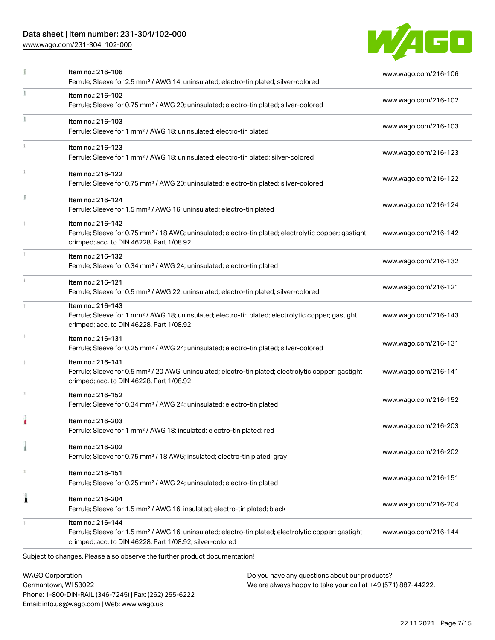# Data sheet | Item number: 231-304/102-000

Phone: 1-800-DIN-RAIL (346-7245) | Fax: (262) 255-6222

Email: info.us@wago.com | Web: www.wago.us

[www.wago.com/231-304\\_102-000](http://www.wago.com/231-304_102-000)



|                                                 | Item no.: 216-106<br>Ferrule; Sleeve for 2.5 mm <sup>2</sup> / AWG 14; uninsulated; electro-tin plated; silver-colored                                                                            |                                                                                                                | www.wago.com/216-106 |
|-------------------------------------------------|---------------------------------------------------------------------------------------------------------------------------------------------------------------------------------------------------|----------------------------------------------------------------------------------------------------------------|----------------------|
|                                                 | Item no.: 216-102<br>Ferrule; Sleeve for 0.75 mm <sup>2</sup> / AWG 20; uninsulated; electro-tin plated; silver-colored                                                                           |                                                                                                                | www.wago.com/216-102 |
|                                                 | Item no.: 216-103<br>Ferrule; Sleeve for 1 mm <sup>2</sup> / AWG 18; uninsulated; electro-tin plated                                                                                              |                                                                                                                | www.wago.com/216-103 |
|                                                 | Item no.: 216-123<br>Ferrule; Sleeve for 1 mm <sup>2</sup> / AWG 18; uninsulated; electro-tin plated; silver-colored                                                                              |                                                                                                                | www.wago.com/216-123 |
|                                                 | Item no.: 216-122<br>Ferrule; Sleeve for 0.75 mm <sup>2</sup> / AWG 20; uninsulated; electro-tin plated; silver-colored                                                                           |                                                                                                                | www.wago.com/216-122 |
|                                                 | Item no.: 216-124<br>Ferrule; Sleeve for 1.5 mm <sup>2</sup> / AWG 16; uninsulated; electro-tin plated                                                                                            |                                                                                                                | www.wago.com/216-124 |
|                                                 | Item no.: 216-142<br>Ferrule; Sleeve for 0.75 mm <sup>2</sup> / 18 AWG; uninsulated; electro-tin plated; electrolytic copper; gastight<br>crimped; acc. to DIN 46228, Part 1/08.92                |                                                                                                                | www.wago.com/216-142 |
|                                                 | Item no.: 216-132<br>Ferrule; Sleeve for 0.34 mm <sup>2</sup> / AWG 24; uninsulated; electro-tin plated                                                                                           |                                                                                                                | www.wago.com/216-132 |
| $\frac{1}{3}$                                   | Item no.: 216-121<br>Ferrule; Sleeve for 0.5 mm <sup>2</sup> / AWG 22; uninsulated; electro-tin plated; silver-colored                                                                            |                                                                                                                | www.wago.com/216-121 |
|                                                 | Item no.: 216-143<br>Ferrule; Sleeve for 1 mm <sup>2</sup> / AWG 18; uninsulated; electro-tin plated; electrolytic copper; gastight<br>crimped; acc. to DIN 46228, Part 1/08.92                   |                                                                                                                | www.wago.com/216-143 |
|                                                 | Item no.: 216-131<br>Ferrule; Sleeve for 0.25 mm <sup>2</sup> / AWG 24; uninsulated; electro-tin plated; silver-colored                                                                           |                                                                                                                | www.wago.com/216-131 |
|                                                 | Item no.: 216-141<br>Ferrule; Sleeve for 0.5 mm <sup>2</sup> / 20 AWG; uninsulated; electro-tin plated; electrolytic copper; gastight<br>crimped; acc. to DIN 46228, Part 1/08.92                 |                                                                                                                | www.wago.com/216-141 |
|                                                 | Item no.: 216-152<br>Ferrule; Sleeve for 0.34 mm <sup>2</sup> / AWG 24; uninsulated; electro-tin plated                                                                                           |                                                                                                                | www.wago.com/216-152 |
|                                                 | Item no.: 216-203<br>Ferrule; Sleeve for 1 mm <sup>2</sup> / AWG 18; insulated; electro-tin plated; red                                                                                           |                                                                                                                | www.wago.com/216-203 |
|                                                 | Item no.: 216-202<br>Ferrule; Sleeve for 0.75 mm <sup>2</sup> / 18 AWG; insulated; electro-tin plated; gray                                                                                       |                                                                                                                | www.wago.com/216-202 |
|                                                 | Item no.: 216-151<br>Ferrule; Sleeve for 0.25 mm <sup>2</sup> / AWG 24; uninsulated; electro-tin plated                                                                                           |                                                                                                                | www.wago.com/216-151 |
| 1                                               | Item no.: 216-204<br>Ferrule; Sleeve for 1.5 mm <sup>2</sup> / AWG 16; insulated; electro-tin plated; black                                                                                       |                                                                                                                | www.wago.com/216-204 |
|                                                 | Item no.: 216-144<br>Ferrule; Sleeve for 1.5 mm <sup>2</sup> / AWG 16; uninsulated; electro-tin plated; electrolytic copper; gastight<br>crimped; acc. to DIN 46228, Part 1/08.92; silver-colored |                                                                                                                | www.wago.com/216-144 |
|                                                 | Subject to changes. Please also observe the further product documentation!                                                                                                                        |                                                                                                                |                      |
| <b>WAGO Corporation</b><br>Germantown, WI 53022 |                                                                                                                                                                                                   | Do you have any questions about our products?<br>We are always happy to take your call at +49 (571) 887-44222. |                      |

22.11.2021 Page 7/15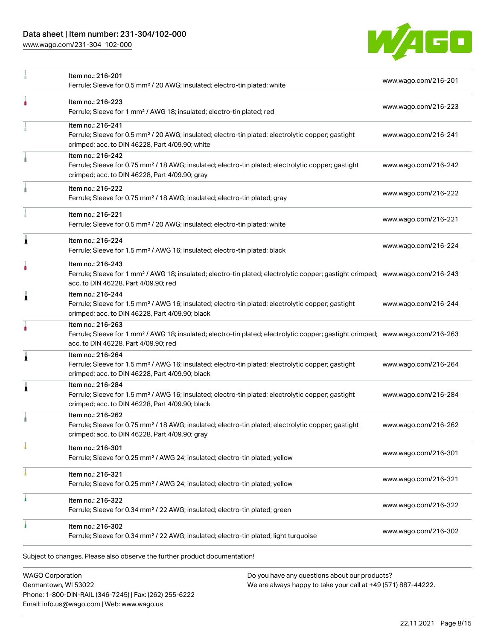# Data sheet | Item number: 231-304/102-000

[www.wago.com/231-304\\_102-000](http://www.wago.com/231-304_102-000)



|   | Item no.: 216-201<br>Ferrule; Sleeve for 0.5 mm <sup>2</sup> / 20 AWG; insulated; electro-tin plated; white                                                                                             | www.wago.com/216-201 |
|---|---------------------------------------------------------------------------------------------------------------------------------------------------------------------------------------------------------|----------------------|
|   | Item no.: 216-223<br>Ferrule; Sleeve for 1 mm <sup>2</sup> / AWG 18; insulated; electro-tin plated; red                                                                                                 | www.wago.com/216-223 |
|   | Item no.: 216-241<br>Ferrule; Sleeve for 0.5 mm <sup>2</sup> / 20 AWG; insulated; electro-tin plated; electrolytic copper; gastight<br>crimped; acc. to DIN 46228, Part 4/09.90; white                  | www.wago.com/216-241 |
|   | Item no.: 216-242<br>Ferrule; Sleeve for 0.75 mm <sup>2</sup> / 18 AWG; insulated; electro-tin plated; electrolytic copper; gastight<br>crimped; acc. to DIN 46228, Part 4/09.90; gray                  | www.wago.com/216-242 |
|   | Item no.: 216-222<br>Ferrule; Sleeve for 0.75 mm <sup>2</sup> / 18 AWG; insulated; electro-tin plated; gray                                                                                             | www.wago.com/216-222 |
|   | Item no.: 216-221<br>Ferrule; Sleeve for 0.5 mm <sup>2</sup> / 20 AWG; insulated; electro-tin plated; white                                                                                             | www.wago.com/216-221 |
| Ă | Item no.: 216-224<br>Ferrule; Sleeve for 1.5 mm <sup>2</sup> / AWG 16; insulated; electro-tin plated; black                                                                                             | www.wago.com/216-224 |
|   | Item no.: 216-243<br>Ferrule; Sleeve for 1 mm <sup>2</sup> / AWG 18; insulated; electro-tin plated; electrolytic copper; gastight crimped; www.wago.com/216-243<br>acc. to DIN 46228, Part 4/09.90; red |                      |
| Â | Item no.: 216-244<br>Ferrule; Sleeve for 1.5 mm <sup>2</sup> / AWG 16; insulated; electro-tin plated; electrolytic copper; gastight<br>crimped; acc. to DIN 46228, Part 4/09.90; black                  | www.wago.com/216-244 |
|   | Item no.: 216-263<br>Ferrule; Sleeve for 1 mm <sup>2</sup> / AWG 18; insulated; electro-tin plated; electrolytic copper; gastight crimped; www.wago.com/216-263<br>acc. to DIN 46228, Part 4/09.90; red |                      |
| ٨ | Item no.: 216-264<br>Ferrule; Sleeve for 1.5 mm <sup>2</sup> / AWG 16; insulated; electro-tin plated; electrolytic copper; gastight<br>crimped; acc. to DIN 46228, Part 4/09.90; black                  | www.wago.com/216-264 |
| 1 | Item no.: 216-284<br>Ferrule; Sleeve for 1.5 mm <sup>2</sup> / AWG 16; insulated; electro-tin plated; electrolytic copper; gastight<br>crimped; acc. to DIN 46228, Part 4/09.90; black                  | www.wago.com/216-284 |
|   | Item no.: 216-262<br>Ferrule; Sleeve for 0.75 mm <sup>2</sup> / 18 AWG; insulated; electro-tin plated; electrolytic copper; gastight<br>crimped; acc. to DIN 46228, Part 4/09.90; gray                  | www.wago.com/216-262 |
|   | Item no.: 216-301<br>Ferrule; Sleeve for 0.25 mm <sup>2</sup> / AWG 24; insulated; electro-tin plated; yellow                                                                                           | www.wago.com/216-301 |
|   | Item no.: 216-321<br>Ferrule; Sleeve for 0.25 mm <sup>2</sup> / AWG 24; insulated; electro-tin plated; yellow                                                                                           | www.wago.com/216-321 |
| ٠ | Item no.: 216-322<br>Ferrule; Sleeve for 0.34 mm <sup>2</sup> / 22 AWG; insulated; electro-tin plated; green                                                                                            | www.wago.com/216-322 |
|   | Item no.: 216-302<br>Ferrule; Sleeve for 0.34 mm <sup>2</sup> / 22 AWG; insulated; electro-tin plated; light turquoise                                                                                  | www.wago.com/216-302 |

WAGO Corporation Germantown, WI 53022 Phone: 1-800-DIN-RAIL (346-7245) | Fax: (262) 255-6222 Email: info.us@wago.com | Web: www.wago.us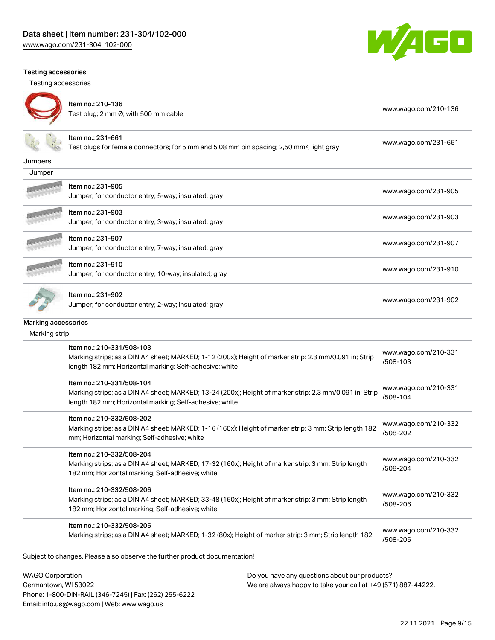[www.wago.com/231-304\\_102-000](http://www.wago.com/231-304_102-000)



#### Testing accessories

Testing accessories

Germantown, WI 53022

Phone: 1-800-DIN-RAIL (346-7245) | Fax: (262) 255-6222

Email: info.us@wago.com | Web: www.wago.us



Item no.: 210-136 Test plug; 2 nm Ø; with 500 mm cable [www.wago.com/210-136](http://www.wago.com/210-136)

### Item no.: 231-661

Test plugs for female connectors; for 5 mm and 5.08 mm pin spacing; 2,50 mm²; light gray [www.wago.com/231-661](http://www.wago.com/231-661)

| Jumpers                 |                                                                                                         |                                  |
|-------------------------|---------------------------------------------------------------------------------------------------------|----------------------------------|
| Jumper                  |                                                                                                         |                                  |
|                         | ltem no.: 231-905                                                                                       |                                  |
|                         | Jumper; for conductor entry; 5-way; insulated; gray                                                     | www.wago.com/231-905             |
|                         | ltem no.: 231-903                                                                                       | www.wago.com/231-903             |
|                         | Jumper; for conductor entry; 3-way; insulated; gray                                                     |                                  |
|                         | Item no.: 231-907                                                                                       | www.wago.com/231-907             |
|                         | Jumper; for conductor entry; 7-way; insulated; gray                                                     |                                  |
|                         | Item no.: 231-910                                                                                       | www.wago.com/231-910             |
|                         | Jumper; for conductor entry; 10-way; insulated; gray                                                    |                                  |
|                         | ltem no.: 231-902                                                                                       |                                  |
|                         | Jumper; for conductor entry; 2-way; insulated; gray                                                     | www.wago.com/231-902             |
| Marking accessories     |                                                                                                         |                                  |
| Marking strip           |                                                                                                         |                                  |
|                         | Item no.: 210-331/508-103                                                                               | www.wago.com/210-331             |
|                         | Marking strips; as a DIN A4 sheet; MARKED; 1-12 (200x); Height of marker strip: 2.3 mm/0.091 in; Strip  | /508-103                         |
|                         | length 182 mm; Horizontal marking; Self-adhesive; white                                                 |                                  |
|                         | Item no.: 210-331/508-104                                                                               | www.wago.com/210-331             |
|                         | Marking strips; as a DIN A4 sheet; MARKED; 13-24 (200x); Height of marker strip: 2.3 mm/0.091 in; Strip | /508-104                         |
|                         | length 182 mm; Horizontal marking; Self-adhesive; white                                                 |                                  |
|                         | Item no.: 210-332/508-202                                                                               |                                  |
|                         | Marking strips; as a DIN A4 sheet; MARKED; 1-16 (160x); Height of marker strip: 3 mm; Strip length 182  | www.wago.com/210-332<br>/508-202 |
|                         | mm; Horizontal marking; Self-adhesive; white                                                            |                                  |
|                         | Item no.: 210-332/508-204                                                                               |                                  |
|                         | Marking strips; as a DIN A4 sheet; MARKED; 17-32 (160x); Height of marker strip: 3 mm; Strip length     | www.wago.com/210-332             |
|                         | 182 mm; Horizontal marking; Self-adhesive; white                                                        | /508-204                         |
|                         | Item no.: 210-332/508-206                                                                               |                                  |
|                         | Marking strips; as a DIN A4 sheet; MARKED; 33-48 (160x); Height of marker strip: 3 mm; Strip length     | www.wago.com/210-332<br>/508-206 |
|                         | 182 mm; Horizontal marking; Self-adhesive; white                                                        |                                  |
|                         | Item no.: 210-332/508-205                                                                               | www.wago.com/210-332             |
|                         | Marking strips; as a DIN A4 sheet; MARKED; 1-32 (80x); Height of marker strip: 3 mm; Strip length 182   | /508-205                         |
|                         | Subject to changes. Please also observe the further product documentation!                              |                                  |
| <b>WAGO Corporation</b> | Do you have any questions about our products?                                                           |                                  |
|                         |                                                                                                         |                                  |

We are always happy to take your call at +49 (571) 887-44222.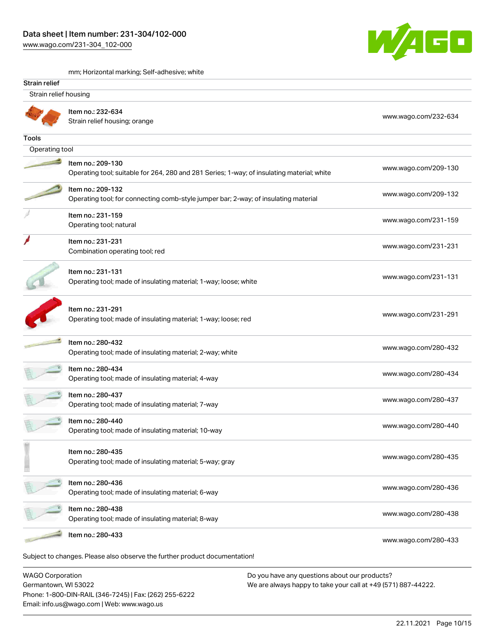[www.wago.com/231-304\\_102-000](http://www.wago.com/231-304_102-000)



mm; Horizontal marking; Self-adhesive; white

| Strain relief           |                                                                                                                 |                      |  |
|-------------------------|-----------------------------------------------------------------------------------------------------------------|----------------------|--|
| Strain relief housing   |                                                                                                                 |                      |  |
|                         | Item no.: 232-634<br>Strain relief housing; orange                                                              | www.wago.com/232-634 |  |
| Tools                   |                                                                                                                 |                      |  |
| Operating tool          |                                                                                                                 |                      |  |
|                         | Item no.: 209-130<br>Operating tool; suitable for 264, 280 and 281 Series; 1-way; of insulating material; white | www.wago.com/209-130 |  |
|                         | Item no.: 209-132<br>Operating tool; for connecting comb-style jumper bar; 2-way; of insulating material        | www.wago.com/209-132 |  |
|                         | Item no.: 231-159<br>Operating tool; natural                                                                    | www.wago.com/231-159 |  |
|                         | Item no.: 231-231<br>Combination operating tool; red                                                            | www.wago.com/231-231 |  |
|                         | Item no.: 231-131<br>Operating tool; made of insulating material; 1-way; loose; white                           | www.wago.com/231-131 |  |
|                         | Item no.: 231-291<br>Operating tool; made of insulating material; 1-way; loose; red                             | www.wago.com/231-291 |  |
|                         | Item no.: 280-432<br>Operating tool; made of insulating material; 2-way; white                                  | www.wago.com/280-432 |  |
|                         | Item no.: 280-434<br>Operating tool; made of insulating material; 4-way                                         | www.wago.com/280-434 |  |
|                         | Item no.: 280-437<br>Operating tool; made of insulating material; 7-way                                         | www.wago.com/280-437 |  |
|                         | Item no.: 280-440<br>Operating tool; made of insulating material; 10-way                                        | www.wago.com/280-440 |  |
|                         | Item no.: 280-435<br>Operating tool; made of insulating material; 5-way; gray                                   | www.wago.com/280-435 |  |
|                         | Item no.: 280-436<br>Operating tool; made of insulating material; 6-way                                         | www.wago.com/280-436 |  |
|                         | Item no.: 280-438<br>Operating tool; made of insulating material; 8-way                                         | www.wago.com/280-438 |  |
|                         | Item no.: 280-433                                                                                               | www.wago.com/280-433 |  |
| <b>WAGO Corporation</b> | Subject to changes. Please also observe the further product documentation!                                      |                      |  |

WAGO Corporation Germantown, WI 53022 Phone: 1-800-DIN-RAIL (346-7245) | Fax: (262) 255-6222 Email: info.us@wago.com | Web: www.wago.us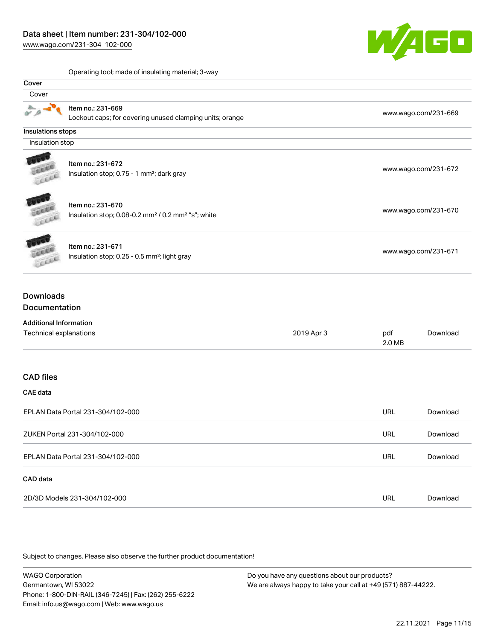# Data sheet | Item number: 231-304/102-000

[www.wago.com/231-304\\_102-000](http://www.wago.com/231-304_102-000)



Operating tool; made of insulating material; 3-way

|                                   | Operating tool; made of insulating material; 3-way                         |            |                      |                      |
|-----------------------------------|----------------------------------------------------------------------------|------------|----------------------|----------------------|
| Cover                             |                                                                            |            |                      |                      |
| Cover                             |                                                                            |            |                      |                      |
|                                   | Item no.: 231-669                                                          |            |                      |                      |
|                                   | Lockout caps; for covering unused clamping units; orange                   |            |                      | www.wago.com/231-669 |
| Insulations stops                 |                                                                            |            |                      |                      |
| Insulation stop                   |                                                                            |            |                      |                      |
|                                   |                                                                            |            |                      |                      |
|                                   | Item no.: 231-672                                                          |            |                      |                      |
|                                   | Insulation stop; 0.75 - 1 mm <sup>2</sup> ; dark gray                      |            | www.wago.com/231-672 |                      |
|                                   | Item no.: 231-670                                                          |            |                      |                      |
|                                   | Insulation stop; 0.08-0.2 mm <sup>2</sup> / 0.2 mm <sup>2</sup> "s"; white |            | www.wago.com/231-670 |                      |
| Lecce                             |                                                                            |            |                      |                      |
|                                   | Item no.: 231-671                                                          |            |                      |                      |
| ELLE                              | Insulation stop; 0.25 - 0.5 mm <sup>2</sup> ; light gray                   |            | www.wago.com/231-671 |                      |
| <b>Downloads</b><br>Documentation |                                                                            |            |                      |                      |
|                                   |                                                                            |            |                      |                      |
| <b>Additional Information</b>     |                                                                            |            |                      |                      |
| Technical explanations            |                                                                            | 2019 Apr 3 | pdf<br>2.0 MB        | Download             |
|                                   |                                                                            |            |                      |                      |
| <b>CAD files</b>                  |                                                                            |            |                      |                      |
| CAE data                          |                                                                            |            |                      |                      |
| EPLAN Data Portal 231-304/102-000 |                                                                            |            | <b>URL</b>           | Download             |
|                                   | ZUKEN Portal 231-304/102-000                                               |            | URL                  | Download             |
| EPLAN Data Portal 231-304/102-000 |                                                                            |            | URL                  | Download             |
| CAD data                          |                                                                            |            |                      |                      |
|                                   | 2D/3D Models 231-304/102-000                                               |            | URL                  | Download             |

Subject to changes. Please also observe the further product documentation!

WAGO Corporation Germantown, WI 53022 Phone: 1-800-DIN-RAIL (346-7245) | Fax: (262) 255-6222 Email: info.us@wago.com | Web: www.wago.us Do you have any questions about our products? We are always happy to take your call at +49 (571) 887-44222.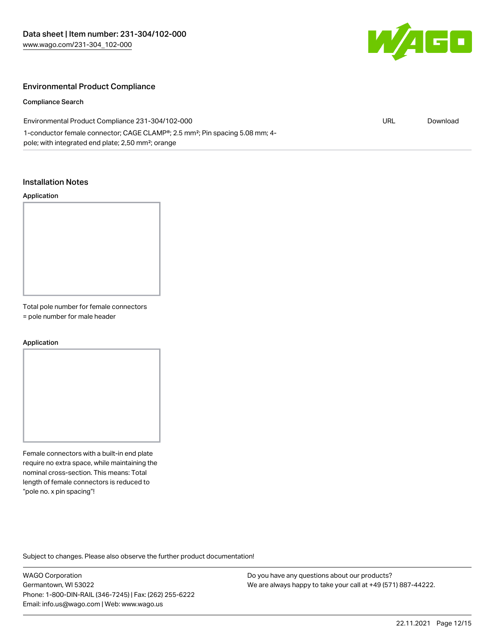

### Environmental Product Compliance

#### Compliance Search

| Environmental Product Compliance 231-304/102-000                                                      | URL | Download |  |
|-------------------------------------------------------------------------------------------------------|-----|----------|--|
| 1-conductor female connector; CAGE CLAMP <sup>®</sup> ; 2.5 mm <sup>2</sup> ; Pin spacing 5.08 mm; 4- |     |          |  |
| pole; with integrated end plate; 2,50 mm <sup>2</sup> ; orange                                        |     |          |  |

### Installation Notes

#### Application

Total pole number for female connectors

= pole number for male header

#### Application

Female connectors with a built-in end plate require no extra space, while maintaining the nominal cross-section. This means: Total length of female connectors is reduced to "pole no. x pin spacing"!

Subject to changes. Please also observe the further product documentation!

WAGO Corporation Germantown, WI 53022 Phone: 1-800-DIN-RAIL (346-7245) | Fax: (262) 255-6222 Email: info.us@wago.com | Web: www.wago.us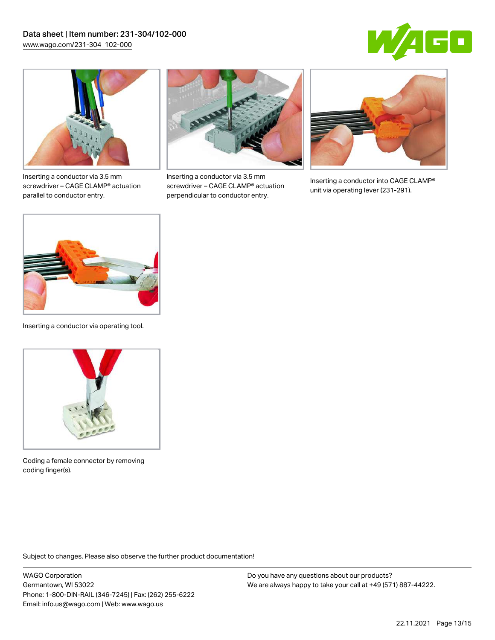



Inserting a conductor via 3.5 mm screwdriver – CAGE CLAMP® actuation parallel to conductor entry.



Inserting a conductor via 3.5 mm screwdriver – CAGE CLAMP® actuation perpendicular to conductor entry.



Inserting a conductor into CAGE CLAMP® unit via operating lever (231-291).



Inserting a conductor via operating tool.



Coding a female connector by removing coding finger(s).

Subject to changes. Please also observe the further product documentation!

WAGO Corporation Germantown, WI 53022 Phone: 1-800-DIN-RAIL (346-7245) | Fax: (262) 255-6222 Email: info.us@wago.com | Web: www.wago.us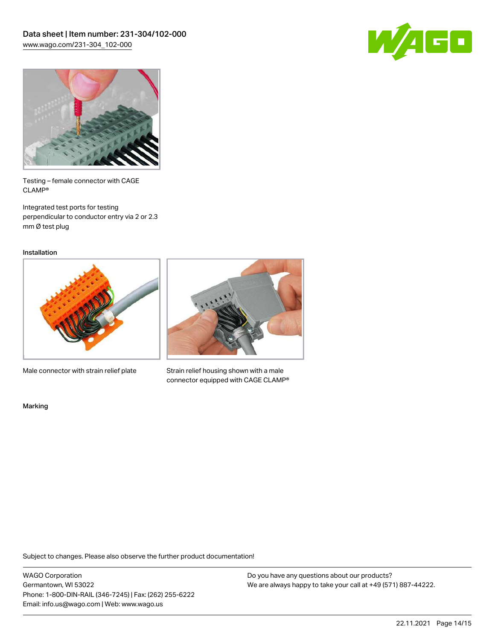



Testing – female connector with CAGE CLAMP®

Integrated test ports for testing perpendicular to conductor entry via 2 or 2.3 mm Ø test plug

Installation



Male connector with strain relief plate



Strain relief housing shown with a male connector equipped with CAGE CLAMP®

Marking

Subject to changes. Please also observe the further product documentation!

WAGO Corporation Germantown, WI 53022 Phone: 1-800-DIN-RAIL (346-7245) | Fax: (262) 255-6222 Email: info.us@wago.com | Web: www.wago.us